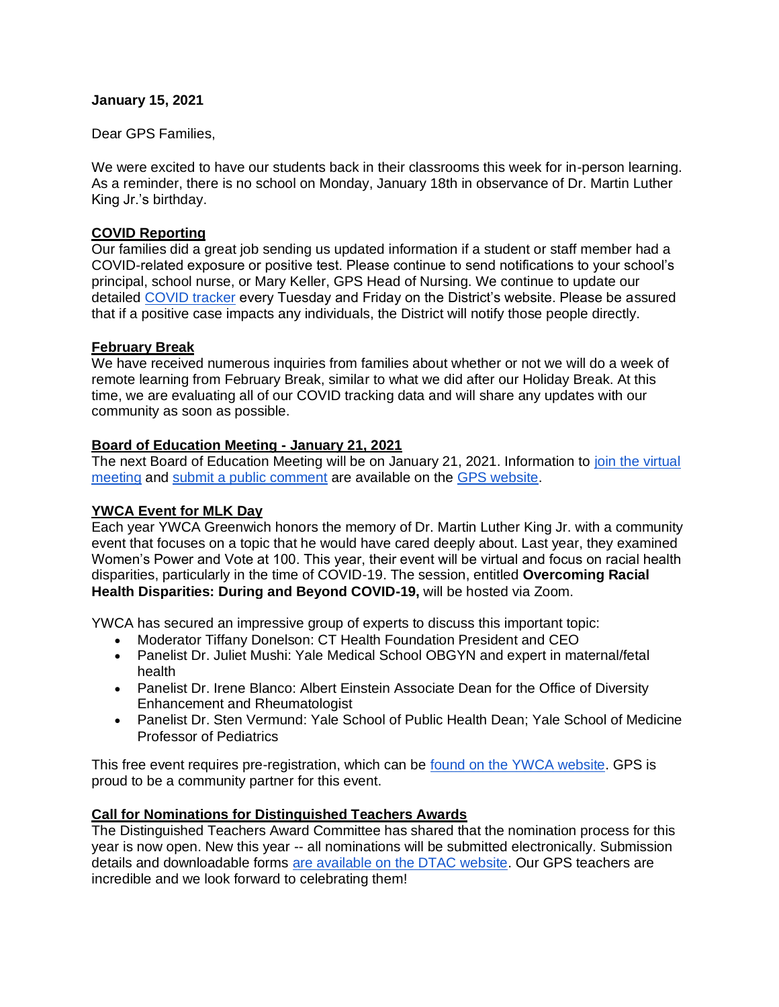### **January 15, 2021**

Dear GPS Families,

We were excited to have our students back in their classrooms this week for in-person learning. As a reminder, there is no school on Monday, January 18th in observance of Dr. Martin Luther King Jr.'s birthday.

### **COVID Reporting**

Our families did a great job sending us updated information if a student or staff member had a COVID-related exposure or positive test. Please continue to send notifications to your school's principal, school nurse, or Mary Keller, GPS Head of Nursing. We continue to update our detailed [COVID tracker](https://www.greenwichschools.org/teaching-learning/student-support-services/health-services/covid-19) every Tuesday and Friday on the District's website. Please be assured that if a positive case impacts any individuals, the District will notify those people directly.

### **February Break**

We have received numerous inquiries from families about whether or not we will do a week of remote learning from February Break, similar to what we did after our Holiday Break. At this time, we are evaluating all of our COVID tracking data and will share any updates with our community as soon as possible.

## **Board of Education Meeting - January 21, 2021**

The next Board of Education Meeting will be on January 21, 2021. Information to join the virtual [meeting](https://www.greenwichschools.org/board-of-education/accessing-virtual-boe-meetings) and [submit a public comment](https://docs.google.com/forms/d/e/1FAIpQLSfvXXOIWdLFUPgPjyTmc1gbxO8ikmyuLwQOckX4H6n4BRjsLA/viewform?usp=send_form) are available on the [GPS website.](https://www.greenwichschools.org/board-of-education/accessing-virtual-boe-meetings)

## **YWCA Event for MLK Day**

Each year YWCA Greenwich honors the memory of Dr. Martin Luther King Jr. with a community event that focuses on a topic that he would have cared deeply about. Last year, they examined Women's Power and Vote at 100. This year, their event will be virtual and focus on racial health disparities, particularly in the time of COVID-19. The session, entitled **Overcoming Racial Health Disparities: During and Beyond COVID-19,** will be hosted via Zoom.

YWCA has secured an impressive group of experts to discuss this important topic:

- Moderator Tiffany Donelson: CT Health Foundation President and CEO
- Panelist Dr. Juliet Mushi: Yale Medical School OBGYN and expert in maternal/fetal health
- Panelist Dr. Irene Blanco: Albert Einstein Associate Dean for the Office of Diversity Enhancement and Rheumatologist
- Panelist Dr. Sten Vermund: Yale School of Public Health Dean; Yale School of Medicine Professor of Pediatrics

This free event requires pre-registration, which can be [found on the YWCA website.](https://us02web.zoom.us/webinar/register/WN_r7weERL0RRS_HI7swGIREw) GPS is proud to be a community partner for this event.

## **Call for Nominations for Distinguished Teachers Awards**

The Distinguished Teachers Award Committee has shared that the nomination process for this year is now open. New this year -- all nominations will be submitted electronically. Submission details and downloadable forms [are available on the DTAC website.](https://www.greenwichschools.org/departments/communications/awardsrecognition-programs/distinguished-teachers-awards) Our GPS teachers are incredible and we look forward to celebrating them!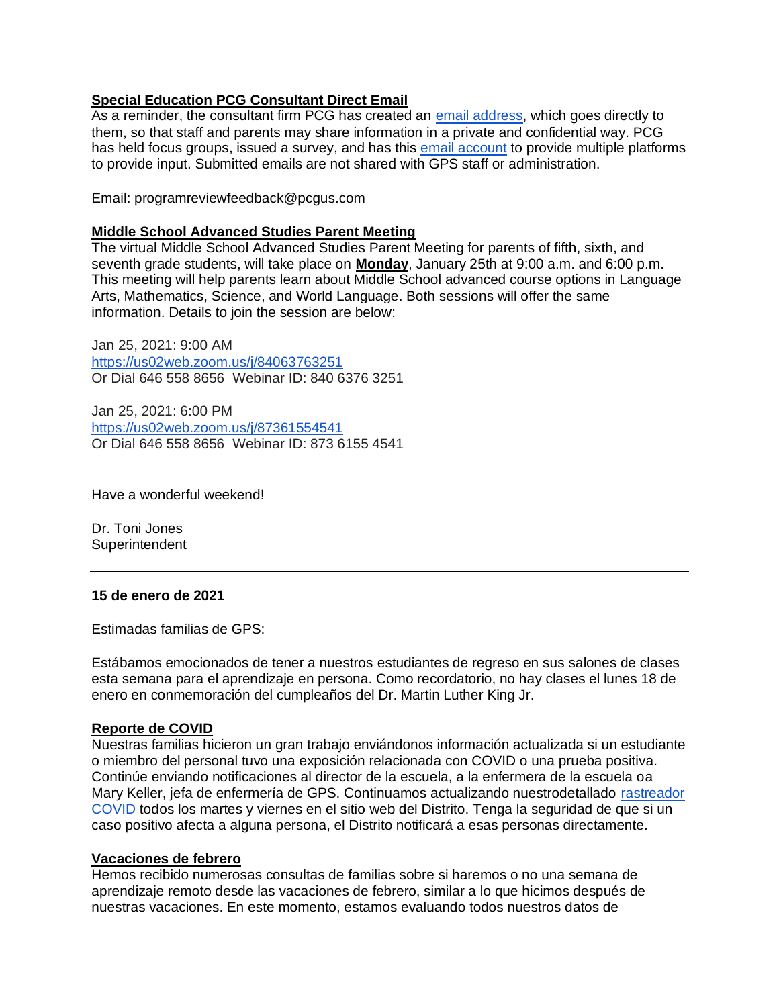# **Special Education PCG Consultant Direct Email**

As a reminder, the consultant firm PCG has created an [email address,](mailto:programreviewfeedback@pcgus.com) which goes directly to them, so that staff and parents may share information in a private and confidential way. PCG has held focus groups, issued a survey, and has this [email account](mailto:programreviewfeedback@pcgus.com) to provide multiple platforms to provide input. Submitted emails are not shared with GPS staff or administration.

Email: programreviewfeedback@pcgus.com

### **Middle School Advanced Studies Parent Meeting**

The virtual Middle School Advanced Studies Parent Meeting for parents of fifth, sixth, and seventh grade students, will take place on **Monday**, January 25th at 9:00 a.m. and 6:00 p.m. This meeting will help parents learn about Middle School advanced course options in Language Arts, Mathematics, Science, and World Language. Both sessions will offer the same information. Details to join the session are below:

Jan 25, 2021: 9:00 AM <https://us02web.zoom.us/j/84063763251> Or Dial 646 558 8656 Webinar ID: 840 6376 3251

Jan 25, 2021: 6:00 PM <https://us02web.zoom.us/j/87361554541> Or Dial 646 558 8656 Webinar ID: 873 6155 4541

Have a wonderful weekend!

Dr. Toni Jones **Superintendent** 

#### **15 de enero de 2021**

Estimadas familias de GPS:

Estábamos emocionados de tener a nuestros estudiantes de regreso en sus salones de clases esta semana para el aprendizaje en persona. Como recordatorio, no hay clases el lunes 18 de enero en conmemoración del cumpleaños del Dr. Martin Luther King Jr.

#### **Reporte de COVID**

Nuestras familias hicieron un gran trabajo enviándonos información actualizada si un estudiante o miembro del personal tuvo una exposición relacionada con COVID o una prueba positiva. Continúe enviando notificaciones al director de la escuela, a la enfermera de la escuela oa Mary Keller, jefa de enfermería de GPS. Continuamos actualizando nuestrodetallado [rastreador](https://www.greenwichschools.org/teaching-learning/student-support-services/health-services/covid-19)  [COVID](https://www.greenwichschools.org/teaching-learning/student-support-services/health-services/covid-19) todos los martes y viernes en el sitio web del Distrito. Tenga la seguridad de que si un caso positivo afecta a alguna persona, el Distrito notificará a esas personas directamente.

#### **Vacaciones de febrero**

Hemos recibido numerosas consultas de familias sobre si haremos o no una semana de aprendizaje remoto desde las vacaciones de febrero, similar a lo que hicimos después de nuestras vacaciones. En este momento, estamos evaluando todos nuestros datos de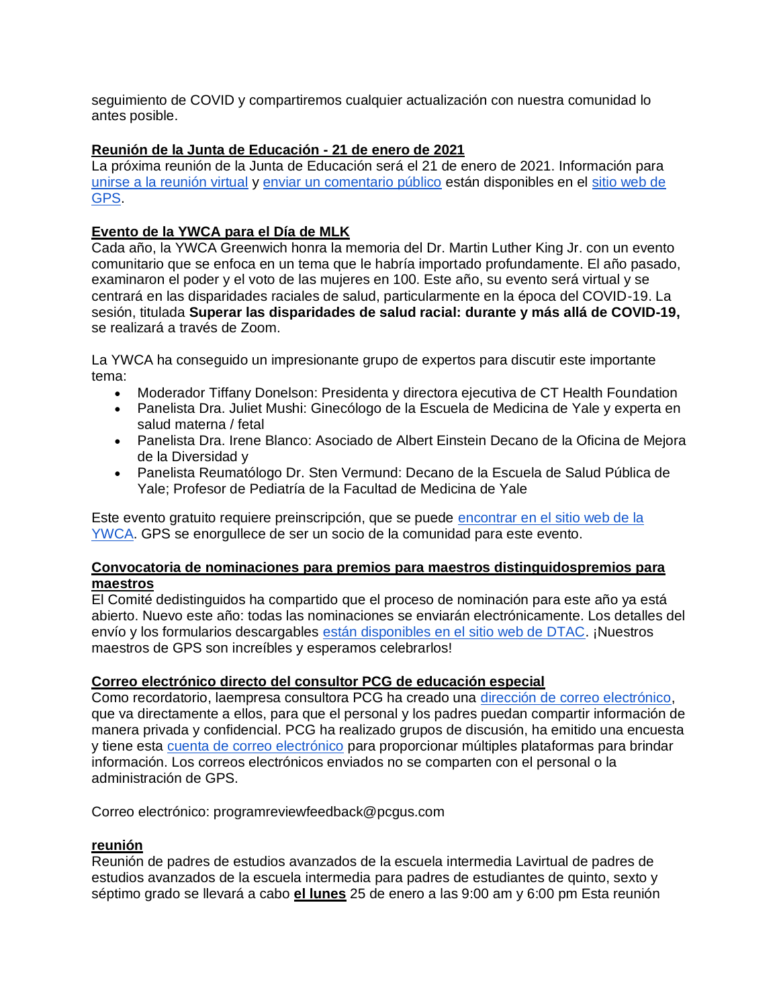seguimiento de COVID y compartiremos cualquier actualización con nuestra comunidad lo antes posible.

# **Reunión de la Junta de Educación - 21 de enero de 2021**

La próxima reunión de la Junta de Educación será el 21 de enero de 2021. Información para [unirse a la reunión virtual](https://www.greenwichschools.org/board-of-education/accessing-virtual-boe-meetings) y [enviar un comentario público](https://docs.google.com/forms/d/e/1FAIpQLSfvXXOIWdLFUPgPjyTmc1gbxO8ikmyuLwQOckX4H6n4BRjsLA/viewform?usp=send_form) están disponibles en el [sitio web de](https://www.greenwichschools.org/board-of-education/accessing-virtual-boe-meetings)  [GPS.](https://www.greenwichschools.org/board-of-education/accessing-virtual-boe-meetings)

# **Evento de la YWCA para el Día de MLK**

Cada año, la YWCA Greenwich honra la memoria del Dr. Martin Luther King Jr. con un evento comunitario que se enfoca en un tema que le habría importado profundamente. El año pasado, examinaron el poder y el voto de las mujeres en 100. Este año, su evento será virtual y se centrará en las disparidades raciales de salud, particularmente en la época del COVID-19. La sesión, titulada **Superar las disparidades de salud racial: durante y más allá de COVID-19,** se realizará a través de Zoom.

La YWCA ha conseguido un impresionante grupo de expertos para discutir este importante tema:

- Moderador Tiffany Donelson: Presidenta y directora ejecutiva de CT Health Foundation
- Panelista Dra. Juliet Mushi: Ginecólogo de la Escuela de Medicina de Yale y experta en salud materna / fetal
- Panelista Dra. Irene Blanco: Asociado de Albert Einstein Decano de la Oficina de Mejora de la Diversidad y
- Panelista Reumatólogo Dr. Sten Vermund: Decano de la Escuela de Salud Pública de Yale; Profesor de Pediatría de la Facultad de Medicina de Yale

Este evento gratuito requiere preinscripción, que se puede [encontrar en el sitio web de la](https://us02web.zoom.us/webinar/register/WN_r7weERL0RRS_HI7swGIREw)  [YWCA.](https://us02web.zoom.us/webinar/register/WN_r7weERL0RRS_HI7swGIREw) GPS se enorgullece de ser un socio de la comunidad para este evento.

## **Convocatoria de nominaciones para premios para maestros distinguidospremios para maestros**

El Comité dedistinguidos ha compartido que el proceso de nominación para este año ya está abierto. Nuevo este año: todas las nominaciones se enviarán electrónicamente. Los detalles del envío y los formularios descargables [están disponibles en el sitio web de DTAC.](https://www.greenwichschools.org/departments/communications/awardsrecognition-programs/distinguished-teachers-awards) ¡Nuestros maestros de GPS son increíbles y esperamos celebrarlos!

## **Correo electrónico directo del consultor PCG de educación especial**

Como recordatorio, laempresa consultora PCG ha creado una [dirección de correo electrónico,](mailto:programreviewfeedback@pcgus.com) que va directamente a ellos, para que el personal y los padres puedan compartir información de manera privada y confidencial. PCG ha realizado grupos de discusión, ha emitido una encuesta y tiene esta [cuenta de correo electrónico](mailto:programreviewfeedback@pcgus.com) para proporcionar múltiples plataformas para brindar información. Los correos electrónicos enviados no se comparten con el personal o la administración de GPS.

Correo electrónico: programreviewfeedback@pcgus.com

## **reunión**

Reunión de padres de estudios avanzados de la escuela intermedia Lavirtual de padres de estudios avanzados de la escuela intermedia para padres de estudiantes de quinto, sexto y séptimo grado se llevará a cabo **el lunes** 25 de enero a las 9:00 am y 6:00 pm Esta reunión